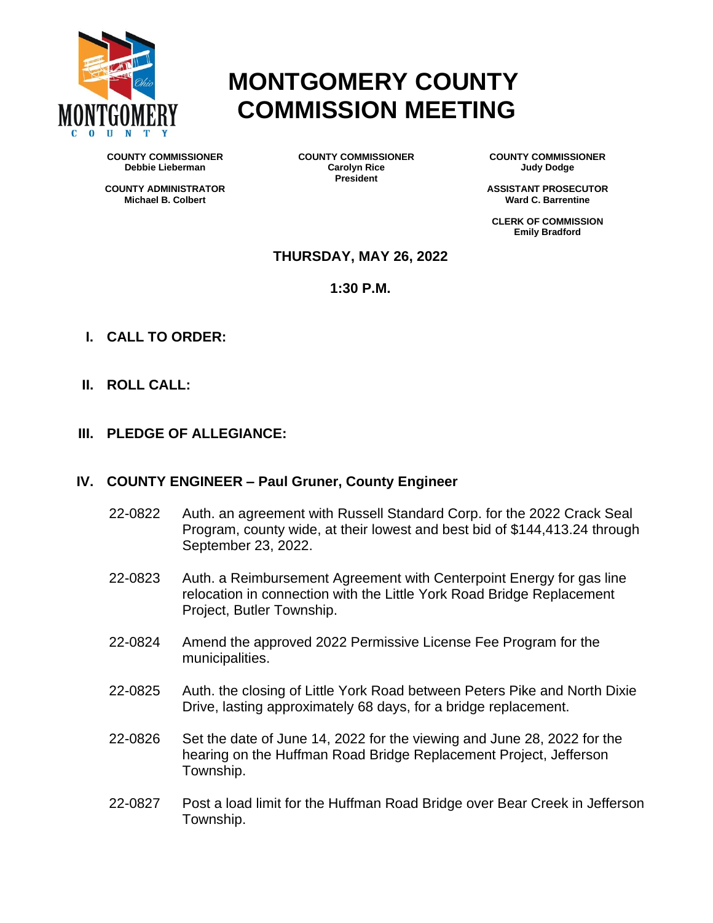

# **MONTGOMERY COUNTY COMMISSION MEETING**

**COUNTY COMMISSIONER Debbie Lieberman** 

**COUNTY ADMINISTRATOR Michael B. Colbert**

**COUNTY COMMISSIONER Carolyn Rice President**

**COUNTY COMMISSIONER Judy Dodge**

**ASSISTANT PROSECUTOR Ward C. Barrentine**

**CLERK OF COMMISSION Emily Bradford**

## **THURSDAY, MAY 26, 2022**

**1:30 P.M.**

- **I. CALL TO ORDER:**
- **II. ROLL CALL:**
- **III. PLEDGE OF ALLEGIANCE:**

## **IV. COUNTY ENGINEER – Paul Gruner, County Engineer**

- 22-0822 Auth. an agreement with Russell Standard Corp. for the 2022 Crack Seal Program, county wide, at their lowest and best bid of \$144,413.24 through September 23, 2022.
- 22-0823 Auth. a Reimbursement Agreement with Centerpoint Energy for gas line relocation in connection with the Little York Road Bridge Replacement Project, Butler Township.
- 22-0824 Amend the approved 2022 Permissive License Fee Program for the municipalities.
- 22-0825 Auth. the closing of Little York Road between Peters Pike and North Dixie Drive, lasting approximately 68 days, for a bridge replacement.
- 22-0826 Set the date of June 14, 2022 for the viewing and June 28, 2022 for the hearing on the Huffman Road Bridge Replacement Project, Jefferson Township.
- 22-0827 Post a load limit for the Huffman Road Bridge over Bear Creek in Jefferson Township.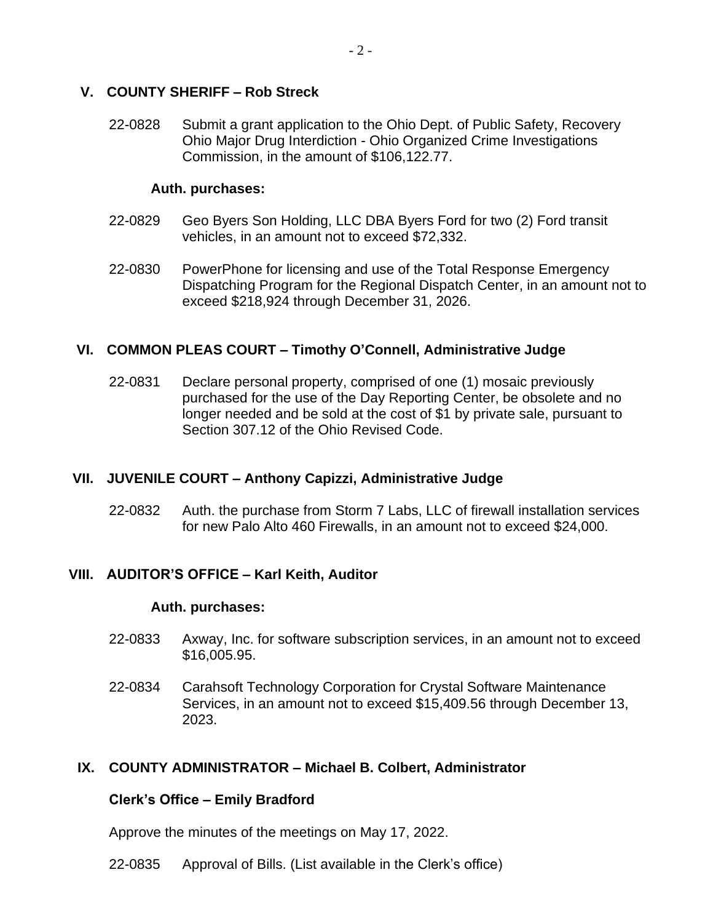# **V. COUNTY SHERIFF – Rob Streck**

22-0828 Submit a grant application to the Ohio Dept. of Public Safety, Recovery Ohio Major Drug Interdiction - Ohio Organized Crime Investigations Commission, in the amount of \$106,122.77.

## **Auth. purchases:**

- 22-0829 Geo Byers Son Holding, LLC DBA Byers Ford for two (2) Ford transit vehicles, in an amount not to exceed \$72,332.
- 22-0830 PowerPhone for licensing and use of the Total Response Emergency Dispatching Program for the Regional Dispatch Center, in an amount not to exceed \$218,924 through December 31, 2026.

## **VI. COMMON PLEAS COURT – Timothy O'Connell, Administrative Judge**

22-0831 Declare personal property, comprised of one (1) mosaic previously purchased for the use of the Day Reporting Center, be obsolete and no longer needed and be sold at the cost of \$1 by private sale, pursuant to Section 307.12 of the Ohio Revised Code.

## **VII. JUVENILE COURT – Anthony Capizzi, Administrative Judge**

22-0832 Auth. the purchase from Storm 7 Labs, LLC of firewall installation services for new Palo Alto 460 Firewalls, in an amount not to exceed \$24,000.

## **VIII. AUDITOR'S OFFICE – Karl Keith, Auditor**

#### **Auth. purchases:**

- 22-0833 Axway, Inc. for software subscription services, in an amount not to exceed \$16,005.95.
- 22-0834 Carahsoft Technology Corporation for Crystal Software Maintenance Services, in an amount not to exceed \$15,409.56 through December 13, 2023.

# **IX. COUNTY ADMINISTRATOR – Michael B. Colbert, Administrator**

## **Clerk's Office – Emily Bradford**

Approve the minutes of the meetings on May 17, 2022.

22-0835 Approval of Bills. (List available in the Clerk's office)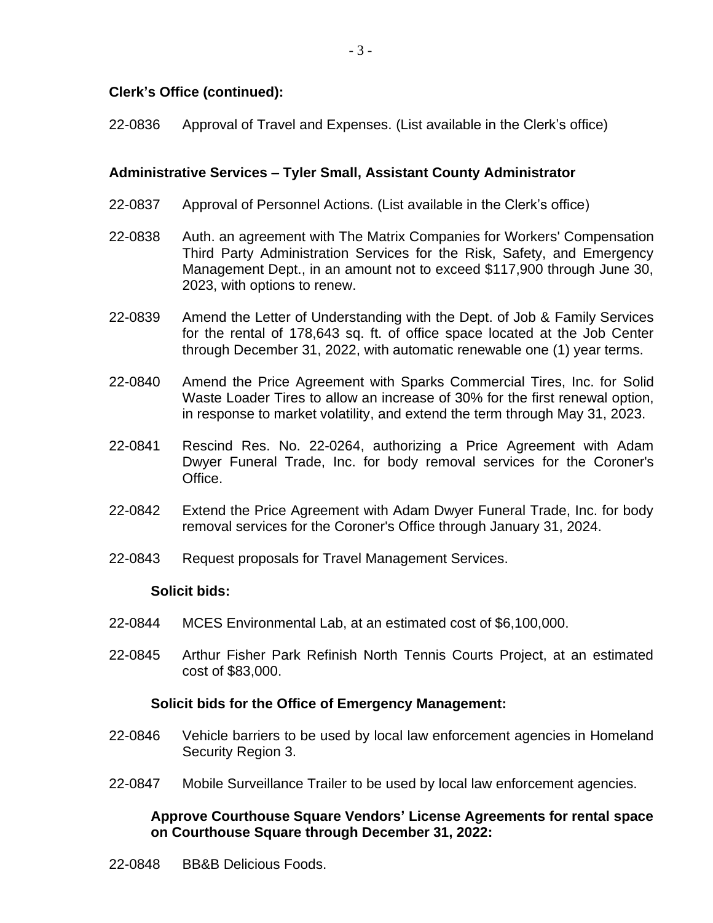# **Clerk's Office (continued):**

22-0836 Approval of Travel and Expenses. (List available in the Clerk's office)

# **Administrative Services – Tyler Small, Assistant County Administrator**

- 22-0837 Approval of Personnel Actions. (List available in the Clerk's office)
- 22-0838 Auth. an agreement with The Matrix Companies for Workers' Compensation Third Party Administration Services for the Risk, Safety, and Emergency Management Dept., in an amount not to exceed \$117,900 through June 30, 2023, with options to renew.
- 22-0839 Amend the Letter of Understanding with the Dept. of Job & Family Services for the rental of 178,643 sq. ft. of office space located at the Job Center through December 31, 2022, with automatic renewable one (1) year terms.
- 22-0840 Amend the Price Agreement with Sparks Commercial Tires, Inc. for Solid Waste Loader Tires to allow an increase of 30% for the first renewal option, in response to market volatility, and extend the term through May 31, 2023.
- 22-0841 Rescind Res. No. 22-0264, authorizing a Price Agreement with Adam Dwyer Funeral Trade, Inc. for body removal services for the Coroner's Office.
- 22-0842 Extend the Price Agreement with Adam Dwyer Funeral Trade, Inc. for body removal services for the Coroner's Office through January 31, 2024.
- 22-0843 Request proposals for Travel Management Services.

## **Solicit bids:**

- 22-0844 MCES Environmental Lab, at an estimated cost of \$6,100,000.
- 22-0845 Arthur Fisher Park Refinish North Tennis Courts Project, at an estimated cost of \$83,000.

## **Solicit bids for the Office of Emergency Management:**

- 22-0846 Vehicle barriers to be used by local law enforcement agencies in Homeland Security Region 3.
- 22-0847 Mobile Surveillance Trailer to be used by local law enforcement agencies.

# **Approve Courthouse Square Vendors' License Agreements for rental space on Courthouse Square through December 31, 2022:**

22-0848 BB&B Delicious Foods.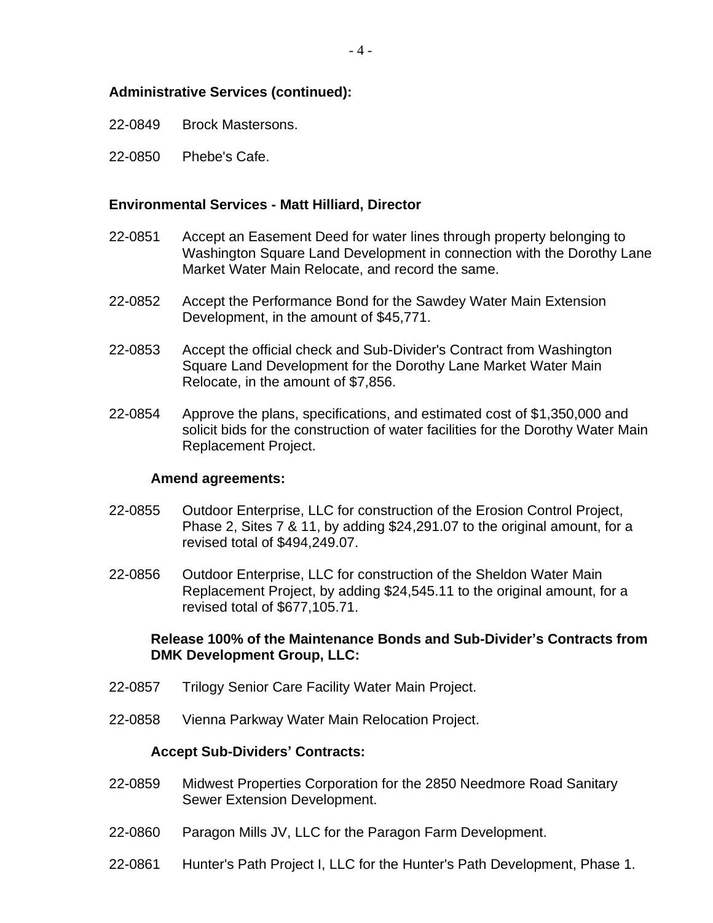# **Administrative Services (continued):**

- 22-0849 Brock Mastersons.
- 22-0850 Phebe's Cafe.

### **Environmental Services - Matt Hilliard, Director**

- 22-0851 Accept an Easement Deed for water lines through property belonging to Washington Square Land Development in connection with the Dorothy Lane Market Water Main Relocate, and record the same.
- 22-0852 Accept the Performance Bond for the Sawdey Water Main Extension Development, in the amount of \$45,771.
- 22-0853 Accept the official check and Sub-Divider's Contract from Washington Square Land Development for the Dorothy Lane Market Water Main Relocate, in the amount of \$7,856.
- 22-0854 Approve the plans, specifications, and estimated cost of \$1,350,000 and solicit bids for the construction of water facilities for the Dorothy Water Main Replacement Project.

#### **Amend agreements:**

- 22-0855 Outdoor Enterprise, LLC for construction of the Erosion Control Project, Phase 2, Sites 7 & 11, by adding \$24,291.07 to the original amount, for a revised total of \$494,249.07.
- 22-0856 Outdoor Enterprise, LLC for construction of the Sheldon Water Main Replacement Project, by adding \$24,545.11 to the original amount, for a revised total of \$677,105.71.

## **Release 100% of the Maintenance Bonds and Sub-Divider's Contracts from DMK Development Group, LLC:**

- 22-0857 Trilogy Senior Care Facility Water Main Project.
- 22-0858 Vienna Parkway Water Main Relocation Project.

#### **Accept Sub-Dividers' Contracts:**

- 22-0859 Midwest Properties Corporation for the 2850 Needmore Road Sanitary Sewer Extension Development.
- 22-0860 Paragon Mills JV, LLC for the Paragon Farm Development.
- 22-0861 Hunter's Path Project I, LLC for the Hunter's Path Development, Phase 1.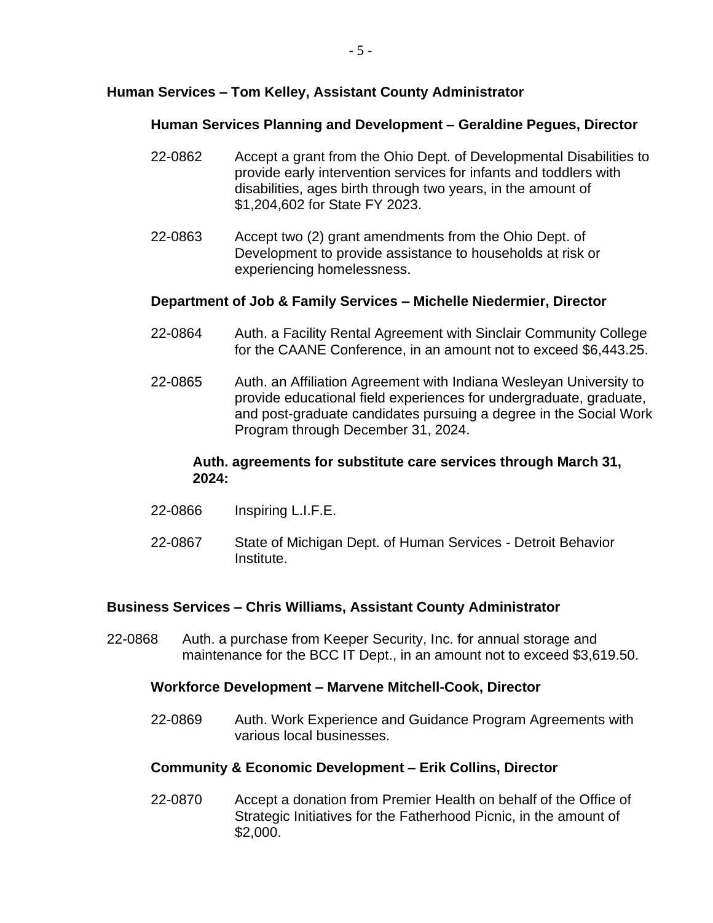# **Human Services – Tom Kelley, Assistant County Administrator**

# **Human Services Planning and Development – Geraldine Pegues, Director**

- 22-0862 Accept a grant from the Ohio Dept. of Developmental Disabilities to provide early intervention services for infants and toddlers with disabilities, ages birth through two years, in the amount of \$1,204,602 for State FY 2023.
- 22-0863 Accept two (2) grant amendments from the Ohio Dept. of Development to provide assistance to households at risk or experiencing homelessness.

# **Department of Job & Family Services – Michelle Niedermier, Director**

- 22-0864 Auth. a Facility Rental Agreement with Sinclair Community College for the CAANE Conference, in an amount not to exceed \$6,443.25.
- 22-0865 Auth. an Affiliation Agreement with Indiana Wesleyan University to provide educational field experiences for undergraduate, graduate, and post-graduate candidates pursuing a degree in the Social Work Program through December 31, 2024.

# **Auth. agreements for substitute care services through March 31, 2024:**

- 22-0866 Inspiring L.I.F.E.
- 22-0867 State of Michigan Dept. of Human Services Detroit Behavior Institute.

# **Business Services – Chris Williams, Assistant County Administrator**

22-0868 Auth. a purchase from Keeper Security, Inc. for annual storage and maintenance for the BCC IT Dept., in an amount not to exceed \$3,619.50.

# **Workforce Development – Marvene Mitchell-Cook, Director**

22-0869 Auth. Work Experience and Guidance Program Agreements with various local businesses.

# **Community & Economic Development – Erik Collins, Director**

22-0870 Accept a donation from Premier Health on behalf of the Office of Strategic Initiatives for the Fatherhood Picnic, in the amount of \$2,000.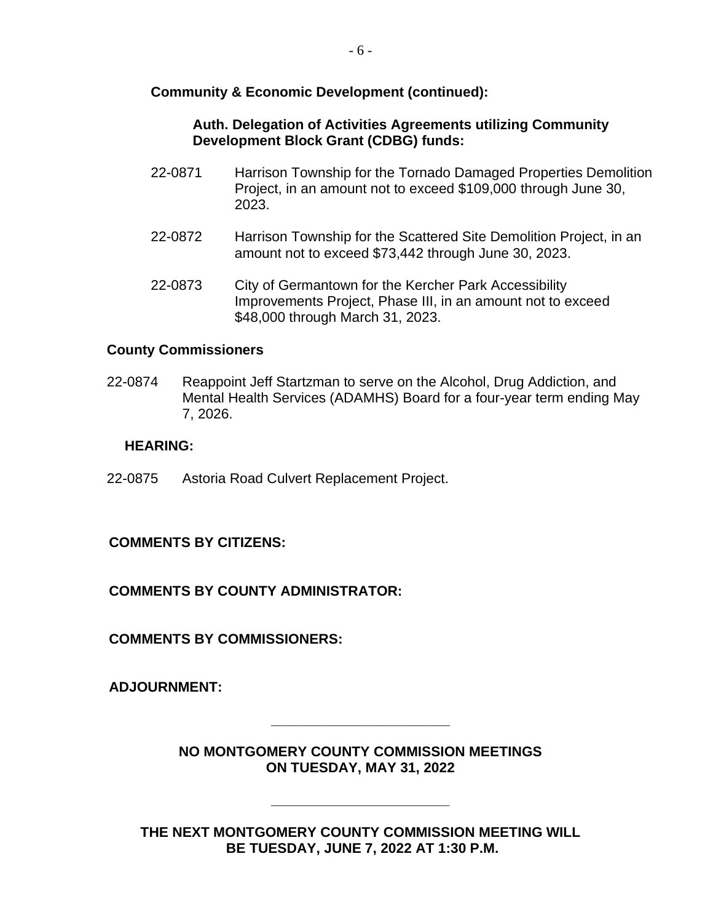# **Community & Economic Development (continued):**

# **Auth. Delegation of Activities Agreements utilizing Community Development Block Grant (CDBG) funds:**

- 22-0871 Harrison Township for the Tornado Damaged Properties Demolition Project, in an amount not to exceed \$109,000 through June 30, 2023.
- 22-0872 Harrison Township for the Scattered Site Demolition Project, in an amount not to exceed \$73,442 through June 30, 2023.
- 22-0873 City of Germantown for the Kercher Park Accessibility Improvements Project, Phase III, in an amount not to exceed \$48,000 through March 31, 2023.

# **County Commissioners**

22-0874 Reappoint Jeff Startzman to serve on the Alcohol, Drug Addiction, and Mental Health Services (ADAMHS) Board for a four-year term ending May 7, 2026.

## **HEARING:**

22-0875 Astoria Road Culvert Replacement Project.

# **COMMENTS BY CITIZENS:**

# **COMMENTS BY COUNTY ADMINISTRATOR:**

**COMMENTS BY COMMISSIONERS:**

**ADJOURNMENT:**

**NO MONTGOMERY COUNTY COMMISSION MEETINGS ON TUESDAY, MAY 31, 2022**

**\_\_\_\_\_\_\_\_\_\_\_\_\_\_\_\_\_\_\_\_\_\_\_**

**THE NEXT MONTGOMERY COUNTY COMMISSION MEETING WILL BE TUESDAY, JUNE 7, 2022 AT 1:30 P.M.**

**\_\_\_\_\_\_\_\_\_\_\_\_\_\_\_\_\_\_\_\_\_\_\_**